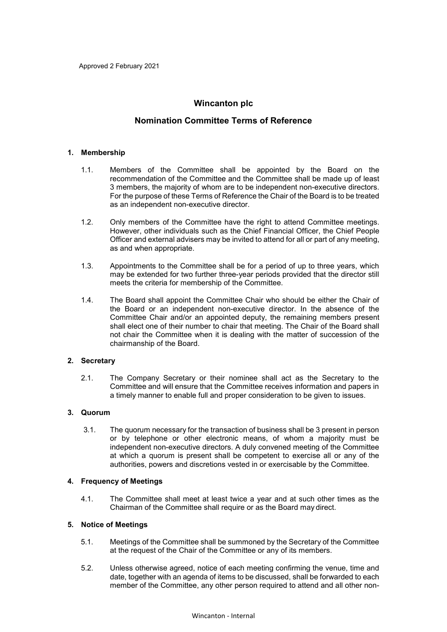# **Wincanton plc**

# **Nomination Committee Terms of Reference**

### **1. Membership**

- 1.1. Members of the Committee shall be appointed by the Board on the recommendation of the Committee and the Committee shall be made up of least 3 members, the majority of whom are to be independent non-executive directors. For the purpose of these Terms of Reference the Chair of the Board is to be treated as an independent non-executive director.
- 1.2. Only members of the Committee have the right to attend Committee meetings. However, other individuals such as the Chief Financial Officer, the Chief People Officer and external advisers may be invited to attend for all or part of any meeting, as and when appropriate.
- 1.3. Appointments to the Committee shall be for a period of up to three years, which may be extended for two further three-year periods provided that the director still meets the criteria for membership of the Committee.
- 1.4. The Board shall appoint the Committee Chair who should be either the Chair of the Board or an independent non-executive director. In the absence of the Committee Chair and/or an appointed deputy, the remaining members present shall elect one of their number to chair that meeting. The Chair of the Board shall not chair the Committee when it is dealing with the matter of succession of the chairmanship of the Board.

## **2. Secretary**

2.1. The Company Secretary or their nominee shall act as the Secretary to the Committee and will ensure that the Committee receives information and papers in a timely manner to enable full and proper consideration to be given to issues.

## **3. Quorum**

3.1. The quorum necessary for the transaction of business shall be 3 present in person or by telephone or other electronic means, of whom a majority must be independent non-executive directors. A duly convened meeting of the Committee at which a quorum is present shall be competent to exercise all or any of the authorities, powers and discretions vested in or exercisable by the Committee.

## **4. Frequency of Meetings**

4.1. The Committee shall meet at least twice a year and at such other times as the Chairman of the Committee shall require or as the Board may direct.

### **5. Notice of Meetings**

- 5.1. Meetings of the Committee shall be summoned by the Secretary of the Committee at the request of the Chair of the Committee or any of its members.
- 5.2. Unless otherwise agreed, notice of each meeting confirming the venue, time and date, together with an agenda of items to be discussed, shall be forwarded to each member of the Committee, any other person required to attend and all other non-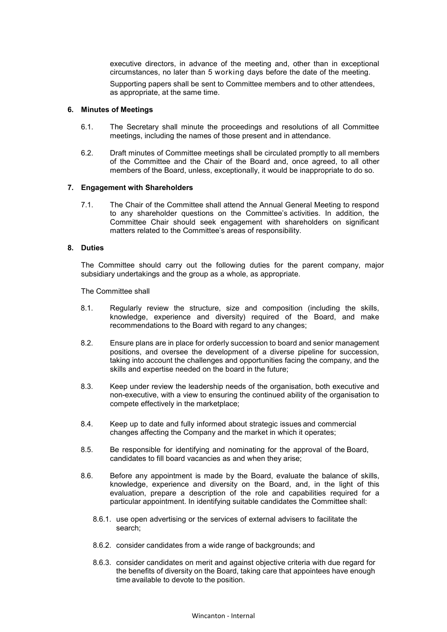executive directors, in advance of the meeting and, other than in exceptional circumstances, no later than 5 working days before the date of the meeting.

Supporting papers shall be sent to Committee members and to other attendees, as appropriate, at the same time.

#### **6. Minutes of Meetings**

- 6.1. The Secretary shall minute the proceedings and resolutions of all Committee meetings, including the names of those present and in attendance.
- 6.2. Draft minutes of Committee meetings shall be circulated promptly to all members of the Committee and the Chair of the Board and, once agreed, to all other members of the Board, unless, exceptionally, it would be inappropriate to do so.

#### **7. Engagement with Shareholders**

7.1. The Chair of the Committee shall attend the Annual General Meeting to respond to any shareholder questions on the Committee's activities. In addition, the Committee Chair should seek engagement with shareholders on significant matters related to the Committee's areas of responsibility.

### **8. Duties**

The Committee should carry out the following duties for the parent company, major subsidiary undertakings and the group as a whole, as appropriate.

The Committee shall

- 8.1. Regularly review the structure, size and composition (including the skills, knowledge, experience and diversity) required of the Board, and make recommendations to the Board with regard to any changes;
- 8.2. Ensure plans are in place for orderly succession to board and senior management positions, and oversee the development of a diverse pipeline for succession, taking into account the challenges and opportunities facing the company, and the skills and expertise needed on the board in the future;
- 8.3. Keep under review the leadership needs of the organisation, both executive and non-executive, with a view to ensuring the continued ability of the organisation to compete effectively in the marketplace;
- 8.4. Keep up to date and fully informed about strategic issues and commercial changes affecting the Company and the market in which it operates;
- 8.5. Be responsible for identifying and nominating for the approval of the Board, candidates to fill board vacancies as and when they arise;
- 8.6. Before any appointment is made by the Board, evaluate the balance of skills, knowledge, experience and diversity on the Board, and, in the light of this evaluation, prepare a description of the role and capabilities required for a particular appointment. In identifying suitable candidates the Committee shall:
	- 8.6.1. use open advertising or the services of external advisers to facilitate the search;
	- 8.6.2. consider candidates from a wide range of backgrounds; and
	- 8.6.3. consider candidates on merit and against objective criteria with due regard for the benefits of diversity on the Board, taking care that appointees have enough time available to devote to the position.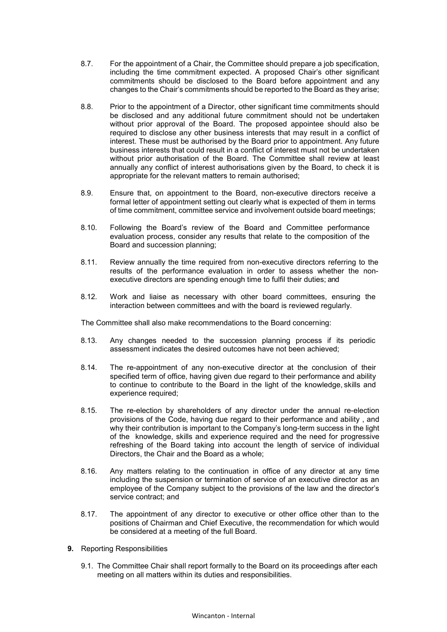- 8.7. For the appointment of a Chair, the Committee should prepare a job specification, including the time commitment expected. A proposed Chair's other significant commitments should be disclosed to the Board before appointment and any changes to the Chair's commitments should be reported to the Board as they arise;
- 8.8. Prior to the appointment of a Director, other significant time commitments should be disclosed and any additional future commitment should not be undertaken without prior approval of the Board. The proposed appointee should also be required to disclose any other business interests that may result in a conflict of interest. These must be authorised by the Board prior to appointment. Any future business interests that could result in a conflict of interest must not be undertaken without prior authorisation of the Board. The Committee shall review at least annually any conflict of interest authorisations given by the Board, to check it is appropriate for the relevant matters to remain authorised;
- 8.9. Ensure that, on appointment to the Board, non-executive directors receive a formal letter of appointment setting out clearly what is expected of them in terms of time commitment, committee service and involvement outside board meetings;
- 8.10. Following the Board's review of the Board and Committee performance evaluation process, consider any results that relate to the composition of the Board and succession planning;
- 8.11. Review annually the time required from non-executive directors referring to the results of the performance evaluation in order to assess whether the nonexecutive directors are spending enough time to fulfil their duties; and
- 8.12. Work and liaise as necessary with other board committees, ensuring the interaction between committees and with the board is reviewed regularly.

The Committee shall also make recommendations to the Board concerning:

- 8.13. Any changes needed to the succession planning process if its periodic assessment indicates the desired outcomes have not been achieved;
- 8.14. The re-appointment of any non-executive director at the conclusion of their specified term of office, having given due regard to their performance and ability to continue to contribute to the Board in the light of the knowledge, skills and experience required;
- 8.15. The re-election by shareholders of any director under the annual re-election provisions of the Code, having due regard to their performance and ability , and why their contribution is important to the Company's long-term success in the light of the knowledge, skills and experience required and the need for progressive refreshing of the Board taking into account the length of service of individual Directors, the Chair and the Board as a whole;
- 8.16. Any matters relating to the continuation in office of any director at any time including the suspension or termination of service of an executive director as an employee of the Company subject to the provisions of the law and the director's service contract; and
- 8.17. The appointment of any director to executive or other office other than to the positions of Chairman and Chief Executive, the recommendation for which would be considered at a meeting of the full Board.
- **9.** Reporting Responsibilities
	- 9.1. The Committee Chair shall report formally to the Board on its proceedings after each meeting on all matters within its duties and responsibilities.